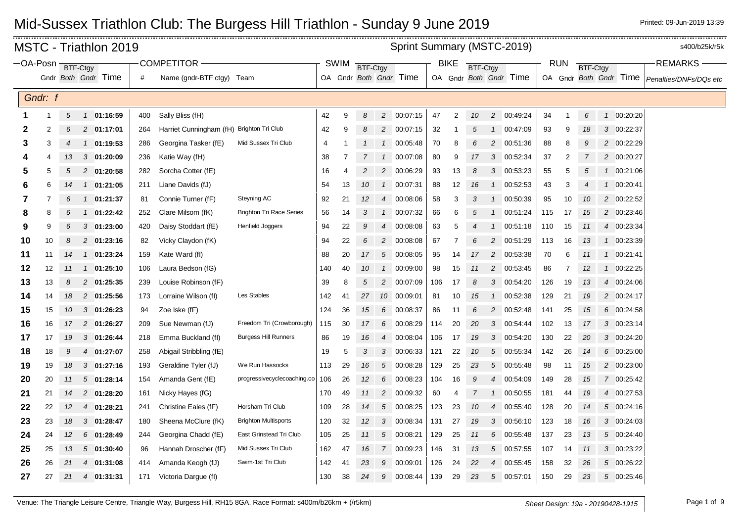|    |                                                                                                                                                                                                                                                                                       |    | <b>MSTC - Triathlon 2019</b> |     |                                           |                                 |     |    |                |                  | Sprint Summary (MSTC-2019) |     |                |                |                |                |     |                |    |              |            | s400/b25k/r5k          |
|----|---------------------------------------------------------------------------------------------------------------------------------------------------------------------------------------------------------------------------------------------------------------------------------------|----|------------------------------|-----|-------------------------------------------|---------------------------------|-----|----|----------------|------------------|----------------------------|-----|----------------|----------------|----------------|----------------|-----|----------------|----|--------------|------------|------------------------|
|    | <b>COMPETITOR</b><br><b>BIKE</b><br>$-$ OA-Posn $-$<br>SWIM<br><b>RUN</b><br>BTF-Ctgy<br><b>BTF-Ctgy</b><br><b>BTF-Ctgy</b><br><b>BTF-Ctgy</b><br>Gndr Both Gndr Time<br>OA Gndr Both Gndr Time<br>OA Gndr Both Gndr Time<br>OA Gndr Both Gndr Time<br>#<br>Name (gndr-BTF ctgy) Team |    |                              |     |                                           |                                 |     |    |                |                  |                            |     |                |                |                | <b>REMARKS</b> |     |                |    |              |            |                        |
|    |                                                                                                                                                                                                                                                                                       |    |                              |     |                                           |                                 |     |    |                |                  |                            |     |                |                |                |                |     |                |    |              |            | Penalties/DNFs/DQs etc |
|    | Gndr: f                                                                                                                                                                                                                                                                               |    |                              |     |                                           |                                 |     |    |                |                  |                            |     |                |                |                |                |     |                |    |              |            |                        |
|    |                                                                                                                                                                                                                                                                                       |    |                              |     |                                           |                                 |     |    |                |                  |                            |     |                |                |                |                |     |                |    |              |            |                        |
| 1  | -1                                                                                                                                                                                                                                                                                    | 5  | 1 01:16:59                   | 400 | Sally Bliss (fH)                          |                                 | 42  | 9  | 8              | $\overline{c}$   | 00:07:15                   | 47  | $\overline{2}$ | 10             | $\overline{c}$ | 00:49:24       | 34  | 1              | 6  | $\mathbf{1}$ | 00:20:20   |                        |
| 2  | 2                                                                                                                                                                                                                                                                                     |    | 2 01:17:01                   | 264 | Harriet Cunningham (fH) Brighton Tri Club |                                 | 42  | 9  |                |                  | 2 00:07:15                 | 32  |                |                | $\mathcal{I}$  | 00:47:09       | 93  | 9              | 18 |              | 3 00:22:37 |                        |
| 3  | 3                                                                                                                                                                                                                                                                                     | 4  | 1 01:19:53                   | 286 | Georgina Tasker (fE)                      | Mid Sussex Tri Club             | 4   | 1  | $\mathbf{1}$   | $\mathbf{1}$     | 00:05:48                   | 70  | 8              | 6              | $\overline{c}$ | 00:51:36       | 88  | 8              | 9  |              | 2 00:22:29 |                        |
|    | 4                                                                                                                                                                                                                                                                                     | 13 | 3 01:20:09                   | 236 | Katie Way (fH)                            |                                 | 38  | 7  | $\overline{7}$ | $\left  \right $ | 00:07:08                   | 80  | 9              | 17             | 3              | 00:52:34       | 37  | 2              | 7  |              | 2 00:20:27 |                        |
| 5  | 5                                                                                                                                                                                                                                                                                     | 5  | 2 01:20:58                   | 282 | Sorcha Cotter (fE)                        |                                 | 16  | 4  | 2              | $\overline{c}$   | 00:06:29                   | 93  | 13             | 8              | 3              | 00:53:23       | 55  | 5              | 5  |              | 1 00:21:06 |                        |
| 6  | 6                                                                                                                                                                                                                                                                                     | 14 | 01:21:05<br>$\mathcal{I}$    | 211 | Liane Davids (fJ)                         |                                 | 54  | 13 | 10             | $\overline{1}$   | 00:07:31                   | 88  | 12             | 16             |                | 1 00:52:53     | 43  | 3              | 4  |              | 1 00:20:41 |                        |
| 7  |                                                                                                                                                                                                                                                                                       | 6  | 1 01:21:37                   | 81  | Connie Turner (fF)                        | Steyning AC                     | 92  | 21 | 12             | $\overline{4}$   | 00:08:06                   | 58  | 3              | 3              |                | 1 00:50:39     | 95  | 10             | 10 |              | 2 00:22:52 |                        |
| 8  | 8                                                                                                                                                                                                                                                                                     |    | $1$ 01:22:42                 | 252 | Clare Milsom (fK)                         | <b>Brighton Tri Race Series</b> | 56  | 14 | 3              |                  | 1 00:07:32                 | 66  | 6              |                | $\mathcal{I}$  | 00:51:24       | 115 | 17             | 15 |              | 2 00:23:46 |                        |
| 9  | 9                                                                                                                                                                                                                                                                                     | 6  | $3$ 01:23:00                 | 420 | Daisy Stoddart (fE)                       | <b>Henfield Joggers</b>         | 94  | 22 | 9              | 4                | 00:08:08                   | 63  | 5              |                | $\mathcal I$   | 00:51:18       | 110 | 15             | 11 |              | 4 00:23:34 |                        |
| 10 | 10                                                                                                                                                                                                                                                                                    | 8  | 2 01:23:16                   | 82  | Vicky Claydon (fK)                        |                                 | 94  | 22 | 6              | $\overline{c}$   | 00:08:08                   | 67  |                | 6              | 2              | 00:51:29       | 113 | 16             | 13 |              | 1 00:23:39 |                        |
| 11 | 11                                                                                                                                                                                                                                                                                    | 14 | $1$ 01:23:24                 | 159 | Kate Ward (fl)                            |                                 | 88  | 20 | 17             | $5\overline{)}$  | 00:08:05                   | 95  | 14             | 17             | 2              | 00:53:38       | 70  | 6              | 11 |              | 1 00:21:41 |                        |
| 12 | 12                                                                                                                                                                                                                                                                                    | 11 | 1 01:25:10                   | 106 | Laura Bedson (fG)                         |                                 | 140 | 40 | 10             | $\overline{1}$   | 00:09:00                   | 98  | 15             | 11             | $\overline{c}$ | 00:53:45       | 86  | $\overline{7}$ | 12 |              | 1 00:22:25 |                        |
| 13 | 13                                                                                                                                                                                                                                                                                    | 8  | 2 01:25:35                   | 239 | Louise Robinson (fF)                      |                                 | 39  | 8  | 5              | $\overline{c}$   | 00:07:09                   | 106 | 17             | 8              | 3              | 00:54:20       | 126 | 19             | 13 |              | 4 00:24:06 |                        |
| 14 | 14                                                                                                                                                                                                                                                                                    | 18 | 2 01:25:56                   | 173 | Lorraine Wilson (fl)                      | Les Stables                     | 142 | 41 | 27             |                  | 10 00:09:01                | 81  | 10             | 15             | $\mathcal{I}$  | 00:52:38       | 129 | 21             | 19 |              | 2 00:24:17 |                        |
| 15 | 15                                                                                                                                                                                                                                                                                    | 10 | $3$ 01:26:23                 | 94  | Zoe Iske (fF)                             |                                 | 124 | 36 | 15             | 6                | 00:08:37                   | 86  | 11             | 6              | $\overline{2}$ | 00:52:48       | 141 | 25             | 15 |              | 6 00:24:58 |                        |
| 16 | 16                                                                                                                                                                                                                                                                                    | 17 | 2 01:26:27                   | 209 | Sue Newman (fJ)                           | Freedom Tri (Crowborough)       | 115 | 30 | 17             | 6                | 00:08:29                   | 114 | 20             | 20             | 3              | 00:54:44       | 102 | 13             | 17 |              | 3 00:23:14 |                        |
| 17 | 17                                                                                                                                                                                                                                                                                    | 19 | $3$ 01:26:44                 | 218 | Emma Buckland (fl)                        | <b>Burgess Hill Runners</b>     | 86  | 19 | 16             | $\overline{4}$   | 00:08:04                   | 106 | 17             | 19             | 3              | 00:54:20       | 130 | 22             | 20 |              | 3 00:24:20 |                        |
| 18 | 18                                                                                                                                                                                                                                                                                    | 9  | 01:27:07<br>4                | 258 | Abigail Stribbling (fE)                   |                                 | 19  | 5  | 3              | 3 <sup>1</sup>   | 00:06:33                   | 121 | 22             | 10             | $\sqrt{5}$     | 00:55:34       | 142 | 26             | 14 |              | 6 00:25:00 |                        |
| 19 | 19                                                                                                                                                                                                                                                                                    | 18 | $3$ 01:27:16                 | 193 | Geraldine Tyler (fJ)                      | We Run Hassocks                 | 113 | 29 | 16             | $\sqrt{5}$       | 00:08:28                   | 129 | 25             | 23             | 5              | 00:55:48       | 98  | 11             | 15 |              | 2 00:23:00 |                        |
| 20 | 20                                                                                                                                                                                                                                                                                    | 11 | $5$ 01:28:14                 | 154 | Amanda Gent (fE)                          | progressivecyclecoaching.co     | 106 | 26 | 12             | 6                | 00:08:23                   | 104 | 16             | 9              | 4              | 00:54:09       | 149 | 28             | 15 |              | 7 00:25:42 |                        |
| 21 | 21                                                                                                                                                                                                                                                                                    | 14 | 2 01:28:20                   | 161 | Nicky Hayes (fG)                          |                                 | 170 | 49 | 11             | $\overline{c}$   | 00:09:32                   | 60  | 4              | $\overline{7}$ | $\mathbf{1}$   | 00:50:55       | 181 | 44             | 19 |              | 4 00:27:53 |                        |
| 22 | 22                                                                                                                                                                                                                                                                                    | 12 | 4 01:28:21                   | 241 | Christine Eales (fF)                      | Horsham Tri Club                | 109 | 28 | 14             | $\sqrt{5}$       | 00:08:25                   | 123 | 23             | 10             | 4              | 00:55:40       | 128 | 20             | 14 |              | 5 00:24:16 |                        |
| 23 | 23                                                                                                                                                                                                                                                                                    | 18 | $3$ 01:28:47                 | 180 | Sheena McClure (fK)                       | <b>Brighton Multisports</b>     | 120 | 32 | 12             | 3                | 00:08:34                   | 131 | 27             | 19             | 3              | 00:56:10       | 123 | 18             | 16 |              | 3 00:24:03 |                        |
| 24 | 24                                                                                                                                                                                                                                                                                    | 12 | $6$ 01:28:49                 | 244 | Georgina Chadd (fE)                       | East Grinstead Tri Club         | 105 | 25 | 11             | 5                | 00:08:21                   | 129 | 25             | 11             | 6              | 00:55:48       | 137 | 23             | 13 |              | 5 00:24:40 |                        |
| 25 | 25                                                                                                                                                                                                                                                                                    | 13 | 501:30:40                    | 96  | Hannah Droscher (fF)                      | Mid Sussex Tri Club             | 162 | 47 | 16             | $\overline{7}$   | 00:09:23                   | 146 | 31             | 13             | 5              | 00:57:55       | 107 | 14             | 11 |              | 3 00:23:22 |                        |
| 26 | 26                                                                                                                                                                                                                                                                                    | 21 | 01:31:08<br>4                | 414 | Amanda Keogh (fJ)                         | Swim-1st Tri Club               | 142 | 41 | 23             | 9                | 00:09:01                   | 126 | 24             | 22             | 4              | 00:55:45       | 158 | 32             | 26 |              | 5 00:26:22 |                        |
| 27 | 27                                                                                                                                                                                                                                                                                    | 21 | 01:31:31<br>4                | 171 | Victoria Dargue (fl)                      |                                 | 130 | 38 | 24             | 9                | 00:08:44                   | 139 | 29             | 23             | 5              | 00:57:01       | 150 | 29             | 23 |              | 5 00:25:46 |                        |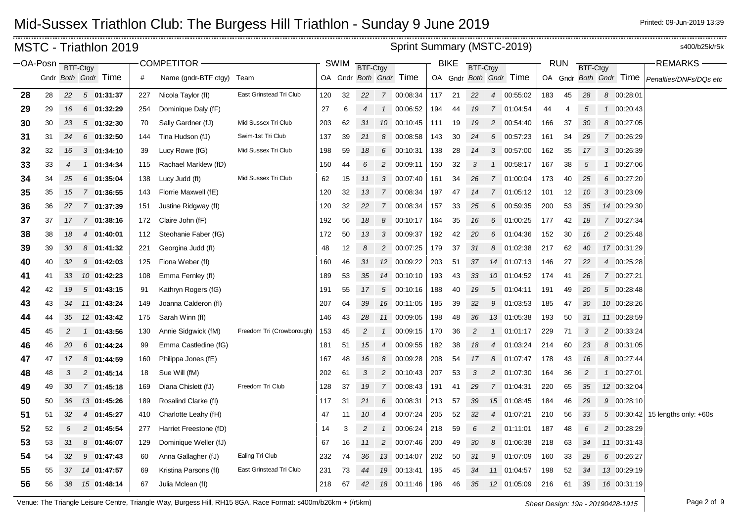$\frac{1}{2}$ 

\_\_\_\_\_\_\_\_\_\_\_\_\_\_\_\_\_\_\_\_\_

|                  |    |    | <b>MSTC - Triathlon 2019</b> |     |                           |                           |     |             |                 |                | Sprint Summary (MSTC-2019) |     |             |                 |                |                        |     |            |                 |                        | s400/b25k/r5k          |
|------------------|----|----|------------------------------|-----|---------------------------|---------------------------|-----|-------------|-----------------|----------------|----------------------------|-----|-------------|-----------------|----------------|------------------------|-----|------------|-----------------|------------------------|------------------------|
| OA-Posn BTF-Ctgy |    |    |                              |     | <b>COMPETITOR -</b>       |                           |     | <b>SWIM</b> | <b>BTF-Ctgy</b> |                |                            |     | <b>BIKE</b> | <b>BTF-Ctgy</b> |                |                        |     | <b>RUN</b> | <b>BTF-Ctgy</b> |                        | <b>REMARKS-</b>        |
|                  |    |    | Gndr Both Gndr Time          | #   | Name (gndr-BTF ctgy) Team |                           |     |             |                 |                | OA Gndr Both Gndr Time     |     |             |                 |                | OA Gndr Both Gndr Time |     |            |                 | OA Gndr Both Gndr Time | Penalties/DNFs/DQs etc |
| 28               | 28 | 22 | 501:31:37                    | 227 | Nicola Taylor (fl)        | East Grinstead Tri Club   | 120 | 32          | 22              |                | 7 00:08:34                 | 117 | 21          | 22              |                | 4 00:55:02             | 183 | 45         | 28              | 8 00:28:01             |                        |
| 29               | 29 | 16 | $6$ 01:32:29                 | 254 | Dominique Daly (fF)       |                           | 27  | 6           | 4               | $\mathcal{I}$  | 00:06:52                   | 194 | 44          | 19              |                | 7 01:04:54             | 44  | 4          | 5               | 1 00:20:43             |                        |
| 30               | 30 | 23 | 501:32:30                    | 70  | Sally Gardner (fJ)        | Mid Sussex Tri Club       | 203 | 62          | 31              | 10             | 00:10:45                   | 111 | 19          | 19              |                | 2 00:54:40             | 166 | 37         | 30              | 8 00:27:05             |                        |
| 31               | 31 | 24 | $6$ 01:32:50                 | 144 | Tina Hudson (fJ)          | Swim-1st Tri Club         | 137 | 39          | 21              | 8              | 00:08:58                   | 143 | 30          | 24              | 6              | 00:57:23               | 161 | 34         | 29              | 7 00:26:29             |                        |
| 32               | 32 | 16 | $3$ 01:34:10                 | 39  | Lucy Rowe (fG)            | Mid Sussex Tri Club       | 198 | 59          | 18              |                | 6 00:10:31                 | 138 | 28          | 14              |                | 3 00:57:00             | 162 | 35         | 17              | 3 00:26:39             |                        |
| 33               | 33 | 4  | 1 01:34:34                   | 115 | Rachael Marklew (fD)      |                           | 150 | 44          | 6               | $\overline{c}$ | 00:09:11                   | 150 | 32          | 3               |                | 1 00:58:17             | 167 | 38         | 5               | 1 00:27:06             |                        |
| 34               | 34 | 25 | 6 01:35:04                   | 138 | Lucy Judd (fl)            | Mid Sussex Tri Club       | 62  | 15          | 11              | 3              | 00:07:40                   | 161 | 34          | 26              | $\overline{7}$ | 01:00:04               | 173 | 40         | 25              | 6 00:27:20             |                        |
| 35               | 35 | 15 | 7 01:36:55                   | 143 | Florrie Maxwell (fE)      |                           | 120 | 32          | 13              |                | 7 00:08:34                 | 197 | 47          | 14              |                | 7 01:05:12             | 101 | 12         | 10              | 3 00:23:09             |                        |
| 36               | 36 | 27 | 7 01:37:39                   | 151 | Justine Ridgway (fl)      |                           | 120 | 32          | 22              | $\overline{7}$ | 00:08:34                   | 157 | 33          | 25              | 6              | 00:59:35               | 200 | 53         | 35              | 14 00:29:30            |                        |
| 37               | 37 | 17 | 7 01:38:16                   | 172 | Claire John (fF)          |                           | 192 | 56          | 18              | 8              | 00:10:17                   | 164 | 35          | 16              | 6              | 01:00:25               | 177 | 42         | 18              | 7 00:27:34             |                        |
| 38               | 38 | 18 | 4 01:40:01                   | 112 | Steohanie Faber (fG)      |                           | 172 | 50          | 13              |                | 3 00:09:37                 | 192 | 42          | 20              |                | 6 01:04:36             | 152 | 30         | 16              | 2 00:25:48             |                        |
| 39               | 39 | 30 | 8 01:41:32                   | 221 | Georgina Judd (fl)        |                           | 48  | 12          | 8               | $\overline{c}$ | 00:07:25                   | 179 | 37          | 31              | 8              | 01:02:38               | 217 | 62         | 40              | 17 00:31:29            |                        |
| 40               | 40 | 32 | $9$ 01:42:03                 | 125 | Fiona Weber (fl)          |                           | 160 | 46          | 31              |                | 12 00:09:22                | 203 | 51          | 37              |                | 14 01:07:13            | 146 | 27         | 22              | 4 00:25:28             |                        |
| 41               | 41 | 33 | 10 01:42:23                  | 108 | Emma Fernley (fl)         |                           | 189 | 53          | 35              |                | 14 00:10:10                | 193 | 43          | 33              |                | 10 01:04:52            | 174 | 41         | 26              | 7 00:27:21             |                        |
| 42               | 42 | 19 | 501:43:15                    | 91  | Kathryn Rogers (fG)       |                           | 191 | 55          | 17              | $\sqrt{5}$     | 00:10:16                   | 188 | 40          | 19              | $5^{\circ}$    | 01:04:11               | 191 | 49         | 20              | 5 00:28:48             |                        |
| 43               | 43 | 34 | 11 01:43:24                  | 149 | Joanna Calderon (fl)      |                           | 207 | 64          | 39              | 16             | 00:11:05                   | 185 | 39          | 32              | 9              | 01:03:53               | 185 | 47         | 30              | 10 00:28:26            |                        |
| 44               | 44 | 35 | 12 01:43:42                  | 175 | Sarah Winn (fl)           |                           | 146 | 43          | 28              |                | 11 00:09:05                | 198 | 48          | 36              |                | 13 01:05:38            | 193 | 50         | 31              | 11 00:28:59            |                        |
| 45               | 45 | 2  | 1 01:43:56                   | 130 | Annie Sidgwick (fM)       | Freedom Tri (Crowborough) | 153 | 45          | $\overline{c}$  | $\mathcal{I}$  | 00:09:15                   | 170 | 36          | 2               |                | $1$ 01:01:17           | 229 | 71         | 3               | 2 00:33:24             |                        |
| 46               | 46 | 20 | 6 01:44:24                   | 99  | Emma Castledine (fG)      |                           | 181 | 51          | 15              | 4              | 00:09:55                   | 182 | 38          | 18              | $\overline{4}$ | 01:03:24               | 214 | 60         | 23              | 8 00:31:05             |                        |
| 47               | 47 | 17 | $8$ 01:44:59                 | 160 | Philippa Jones (fE)       |                           | 167 | 48          | 16              | 8              | 00:09:28                   | 208 | 54          | 17              | 8              | 01:07:47               | 178 | 43         | 16              | 8 00:27:44             |                        |
| 48               | 48 | 3  | 2 01:45:14                   | 18  | Sue Will (fM)             |                           | 202 | 61          | 3               |                | 2 00:10:43                 | 207 | 53          | 3               |                | 2 01:07:30             | 164 | 36         | 2               | 1 00:27:01             |                        |
| 49               | 49 | 30 | 7 01:45:18                   | 169 | Diana Chislett (fJ)       | Freedom Tri Club          | 128 | 37          | 19              | $\overline{7}$ | 00:08:43                   | 191 | 41          | 29              |                | 7 01:04:31             | 220 | 65         | 35              | 12 00:32:04            |                        |
| 50               | 50 | 36 | 13 01:45:26                  | 189 | Rosalind Clarke (fl)      |                           | 117 | 31          | 21              | 6              | 00:08:31                   | 213 | 57          | 39              | 15             | 01:08:45               | 184 | 46         | 29              | 9 00:28:10             |                        |
| 51               | 51 | 32 | 4 01:45:27                   | 410 | Charlotte Leahy (fH)      |                           | 47  | 11          | 10              |                | 4 00:07:24                 | 205 | 52          | 32              |                | 4 01:07:21             | 210 | 56         | 33              | 5 00:30:42             | 15 lengths only: +60s  |
| 52               | 52 | 6  | 2 01:45:54                   | 277 | Harriet Freestone (fD)    |                           | 14  | 3           | $\overline{2}$  | $\mathcal{I}$  | 00:06:24                   | 218 | 59          | 6               |                | 2 01:11:01             | 187 | 48         | 6               | 2 00:28:29             |                        |
| 53               | 53 | 31 | 8 01:46:07                   | 129 | Dominique Weller (fJ)     |                           | 67  | 16          | 11              | $\overline{2}$ | 00:07:46                   | 200 | 49          | 30              | 8              | 01:06:38               | 218 | 63         | 34              | 11 00:31:43            |                        |
| 54               | 54 | 32 | $9$ 01:47:43                 | 60  | Anna Gallagher (fJ)       | <b>Ealing Tri Club</b>    | 232 | 74          | 36              |                | 13 00:14:07                | 202 | 50          | 31              | 9              | 01:07:09               | 160 | 33         | 28              | 6 00:26:27             |                        |
| 55               | 55 | 37 | 14 01:47:57                  | 69  | Kristina Parsons (fl)     | East Grinstead Tri Club   | 231 | 73          | 44              | 19             | 00:13:41                   | 195 | 45          | 34              |                | 11 01:04:57            | 198 | 52         | 34              | 13 00:29:19            |                        |
| 56               | 56 | 38 | 15 01:48:14                  | 67  | Julia Mclean (fl)         |                           | 218 | 67          | 42              |                | 18 00:11:46                | 196 | 46          | 35              |                | 12 01:05:09            | 216 | 61         | 39              | 16 00:31:19            |                        |

Venue: The Triangle Leisure Centre, Triangle Way, Burgess Hill, RH15 8GA. Race Format: s400m/b26km + (/r5km) *Sheet Design: 19a - 20190428-1915* Page 2 of 9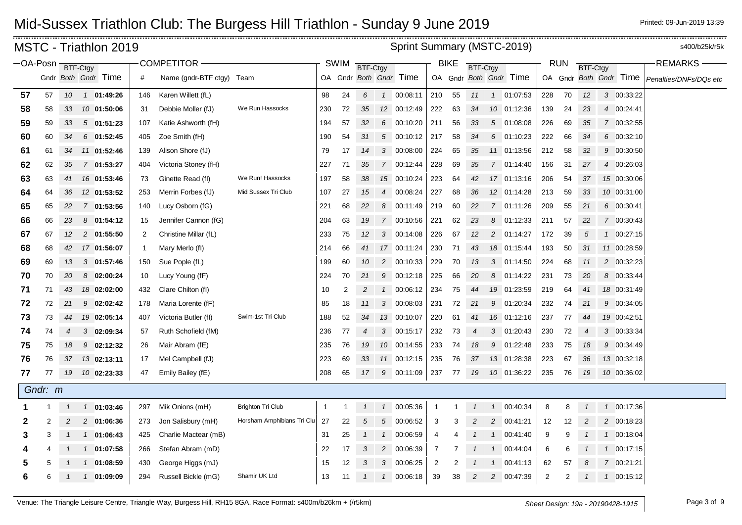| Sprint Summary (MSTC-2019)<br>MSTC - Triathlon 2019<br>-OA-Posn BTF-Ctgy<br><b>COMPETITOR</b><br><b>SWIM</b><br><b>BIKE</b><br><b>RUN</b><br><b>BTF-Ctgy</b><br><b>BTF-Ctgy</b><br><b>BTF-Ctgy</b><br>Gndr Both Gndr Time<br>OA Gndr Both Gndr Time<br>OA Gndr Both Gndr Time<br>OA Gndr Both Gndr Time |         |    |               |              |              |                           |                            |                |    |                |                |             |             | s400/b25k/r5k |                 |                |             |                |                |                |             |                        |
|---------------------------------------------------------------------------------------------------------------------------------------------------------------------------------------------------------------------------------------------------------------------------------------------------------|---------|----|---------------|--------------|--------------|---------------------------|----------------------------|----------------|----|----------------|----------------|-------------|-------------|---------------|-----------------|----------------|-------------|----------------|----------------|----------------|-------------|------------------------|
|                                                                                                                                                                                                                                                                                                         |         |    |               |              |              |                           |                            |                |    |                |                |             |             |               |                 |                |             |                |                |                |             | REMARKS-               |
|                                                                                                                                                                                                                                                                                                         |         |    |               |              | #            | Name (gndr-BTF ctgy) Team |                            |                |    |                |                |             |             |               |                 |                |             |                |                |                |             | Penalties/DNFs/DQs etc |
| 57                                                                                                                                                                                                                                                                                                      | 57      | 10 |               | 1 01:49:26   | 146          | Karen Willett (fL)        |                            | 98             | 24 | 6              | $\overline{1}$ | 00:08:11    | 210         | 55            | 11              |                | 1 01:07:53  | 228            | 70             | 12             | 3 00:33:22  |                        |
| 58                                                                                                                                                                                                                                                                                                      | 58      | 33 |               | 10 01:50:06  | 31           | Debbie Moller (fJ)        | We Run Hassocks            | 230            | 72 | 35             |                | 12 00:12:49 | 222         | 63            | 34              |                | 10 01:12:36 | 139            | 24             | 23             | 4 00:24:41  |                        |
| 59                                                                                                                                                                                                                                                                                                      | 59      | 33 |               | $5$ 01:51:23 | 107          | Katie Ashworth (fH)       |                            | 194            | 57 | 32             | 6              | 00:10:20    | 211         | 56            | 33              |                | 5 01:08:08  | 226            | 69             | 35             | 7 00:32:55  |                        |
| 60                                                                                                                                                                                                                                                                                                      | 60      | 34 |               | $6$ 01:52:45 | 405          | Zoe Smith (fH)            |                            | 190            | 54 | 31             |                | 5 00:10:12  | 217         | 58            | 34              |                | 6 01:10:23  | 222            | 66             | 34             | 6 00:32:10  |                        |
| 61                                                                                                                                                                                                                                                                                                      | 61      | 34 |               | 11 01:52:46  | 139          | Alison Shore (fJ)         |                            | 79             | 17 | 14             |                | 3 00:08:00  | 224         | 65            | 35              |                | 11 01:13:56 | 212            | 58             | 32             | 9 00:30:50  |                        |
| 62                                                                                                                                                                                                                                                                                                      | 62      | 35 |               | 7 01:53:27   | 404          | Victoria Stoney (fH)      |                            | 227            | 71 | 35             |                | 7 00:12:44  | 228         | 69            | 35              |                | 7 01:14:40  | 156            | 31             | 27             | 4 00:26:03  |                        |
| 63                                                                                                                                                                                                                                                                                                      | 63      | 41 |               | 16 01:53:46  | 73           | Ginette Read (fl)         | We Run! Hassocks           | 197            | 58 | 38             |                | 15 00:10:24 | 223         | 64            | 42              |                | 17 01:13:16 | 206            | 54             | 37             | 15 00:30:06 |                        |
| 64                                                                                                                                                                                                                                                                                                      | 64      | 36 |               | 12 01:53:52  | 253          | Merrin Forbes (fJ)        | Mid Sussex Tri Club        | 107            | 27 | 15             | 4              | 00:08:24    | 227         | 68            | 36              |                | 12 01:14:28 | 213            | 59             | 33             | 10 00:31:00 |                        |
| 65                                                                                                                                                                                                                                                                                                      | 65      | 22 |               | 7 01:53:56   | 140          | Lucy Osborn (fG)          |                            | 221            | 68 | 22             | 8              | 00:11:49    | 219         | 60            | 22              |                | 7 01:11:26  | 209            | 55             | 21             | 6 00:30:41  |                        |
| 66                                                                                                                                                                                                                                                                                                      | 66      | 23 |               | 8 01:54:12   | 15           | Jennifer Cannon (fG)      |                            | 204            | 63 | 19             |                | 7 00:10:56  | 221         | 62            | 23              |                | 8 01:12:33  | 211            | 57             | 22             | 7 00:30:43  |                        |
| 67                                                                                                                                                                                                                                                                                                      | 67      | 12 |               | 2 01:55:50   | 2            | Christine Millar (fL)     |                            | 233            | 75 | 12             |                | 3 00:14:08  | 226         | 67            | 12 <sup>2</sup> |                | 2 01:14:27  | 172            | 39             | 5              | 1 00:27:15  |                        |
| 68                                                                                                                                                                                                                                                                                                      | 68      | 42 |               | 17 01:56:07  | $\mathbf{1}$ | Mary Merlo (fl)           |                            | 214            | 66 | 41             |                | 17 00:11:24 | 230         | 71            | 43              |                | 18 01:15:44 | 193            | 50             | 31             | 11 00:28:59 |                        |
| 69                                                                                                                                                                                                                                                                                                      | 69      | 13 |               | $3$ 01:57:46 | 150          | Sue Pople (fL)            |                            | 199            | 60 | 10             |                | 2 00:10:33  | 229         | 70            | 13              |                | 3 01:14:50  | 224            | 68             | 11             | 2 00:32:23  |                        |
| 70                                                                                                                                                                                                                                                                                                      | 70      | 20 |               | 8 02:00:24   | 10           | Lucy Young (fF)           |                            | 224            | 70 | 21             | 9              | 00:12:18    | 225         | 66            | 20              |                | 8 01:14:22  | 231            | 73             | 20             | 8 00:33:44  |                        |
| 71                                                                                                                                                                                                                                                                                                      | 71      | 43 |               | 18 02:02:00  | 432          | Clare Chilton (fl)        |                            | 10             | 2  | $\overline{c}$ | $\mathcal{I}$  | 00:06:12    | 234         | 75            | 44              |                | 19 01:23:59 | 219            | 64             | 41             | 18 00:31:49 |                        |
| 72                                                                                                                                                                                                                                                                                                      | 72      | 21 |               | $9$ 02:02:42 | 178          | Maria Lorente (fF)        |                            | 85             | 18 | 11             |                | 3 00:08:03  | 231         | 72            | 21              |                | 9 01:20:34  | 232            | 74             | 21             | 9 00:34:05  |                        |
| 73                                                                                                                                                                                                                                                                                                      | 73      | 44 |               | 19 02:05:14  | 407          | Victoria Butler (fl)      | Swim-1st Tri Club          | 188            | 52 | 34             |                | 13 00:10:07 | 220         | 61            | 41              |                | 16 01:12:16 | 237            | 77             | 44             | 19 00:42:51 |                        |
| 74                                                                                                                                                                                                                                                                                                      | 74      | 4  |               | 3 02:09:34   | 57           | Ruth Schofield (fM)       |                            | 236            | 77 | $\overline{4}$ | 3              | 00:15:17    | 232         | 73            | 4               | 3              | 01:20:43    | 230            | 72             | $\overline{4}$ | 3 00:33:34  |                        |
| 75                                                                                                                                                                                                                                                                                                      | 75      | 18 |               | $9$ 02:12:32 | 26           | Mair Abram (fE)           |                            | 235            | 76 | 19             |                | 10 00:14:55 | 233         | 74            | 18              | 9              | 01:22:48    | 233            | 75             | 18             | 9 00:34:49  |                        |
| 76                                                                                                                                                                                                                                                                                                      | 76      | 37 |               | 13 02:13:11  | 17           | Mel Campbell (fJ)         |                            | 223            | 69 | 33             |                | 11 00:12:15 | 235         | 76            | 37              |                | 13 01:28:38 | 223            | 67             | 36             | 13 00:32:18 |                        |
| 77                                                                                                                                                                                                                                                                                                      | 77      | 19 |               | 10 02:23:33  | 47           | Emily Bailey (fE)         |                            | 208            | 65 | 17             | 9              | 00:11:09    | 237         | 77            | 19              |                | 10 01:36:22 | 235            | 76             | 19             | 10 00:36:02 |                        |
|                                                                                                                                                                                                                                                                                                         | Gndr: m |    |               |              |              |                           |                            |                |    |                |                |             |             |               |                 |                |             |                |                |                |             |                        |
|                                                                                                                                                                                                                                                                                                         |         | 1  |               | $1$ 01:03:46 | 297          | Mik Onions (mH)           | <b>Brighton Tri Club</b>   | $\overline{1}$ | 1  | $\mathcal{I}$  | $\overline{1}$ | 00:05:36    | $\mathbf 1$ | 1             | $\mathcal{I}$   |                | 1 00:40:34  | 8              | 8              | $\overline{1}$ | 1 00:17:36  |                        |
| 2                                                                                                                                                                                                                                                                                                       | 2       | 2  |               | 2 01:06:36   | 273          | Jon Salisbury (mH)        | Horsham Amphibians Tri Clu | 27             | 22 | 5              | 5              | 00:06:52    | 3           | 3             | 2               |                | 2 00:41:21  | 12             | 12             | $\overline{c}$ | 2 00:18:23  |                        |
| 3                                                                                                                                                                                                                                                                                                       | 3       |    | $\mathcal{I}$ | 01:06:43     | 425          | Charlie Mactear (mB)      |                            | 31             | 25 | $\mathcal{I}$  | $\mathcal{I}$  | 00:06:59    | 4           | 4             | $\mathcal{I}$   | $\overline{1}$ | 00:41:40    | 9              | 9              |                | 1 00:18:04  |                        |
| 4                                                                                                                                                                                                                                                                                                       |         |    |               | 1 01:07:58   | 266          | Stefan Abram (mD)         |                            | 22             | 17 | 3              | $\overline{c}$ | 00:06:39    | 7           |               |                 | $\overline{1}$ | 00:44:04    | 6              | 6              |                | 1 00:17:15  |                        |
| 5                                                                                                                                                                                                                                                                                                       | 5       |    | $\mathcal{I}$ | 01:08:59     | 430          | George Higgs (mJ)         |                            | 15             | 12 | 3              | 3              | 00:06:25    | 2           |               |                 | $\mathcal{I}$  | 00:41:13    | 62             | 57             |                | 7 00:21:21  |                        |
| 6                                                                                                                                                                                                                                                                                                       | 6       | 1  | $\mathcal{I}$ | 01:09:09     | 294          | Russell Bickle (mG)       | Shamir UK Ltd              | 13             | 11 | $\mathcal{I}$  | $\mathcal{I}$  | 00:06:18    | 39          | 38            | $\overline{c}$  |                | 2 00:47:39  | $\overline{2}$ | $\overline{2}$ | $\mathcal{I}$  | 1 00:15:12  |                        |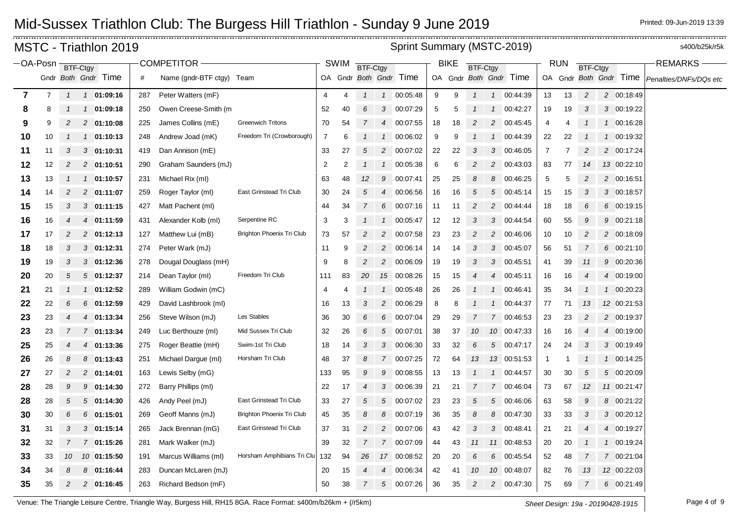|                  |    |                | MSTC - Triathlon 2019     |     |                           |                            |                         |             |                 |                | Sprint Summary (MSTC-2019) |    |             |                |                |                        |                |                |                 |                        | s400/b25k/r5k          |
|------------------|----|----------------|---------------------------|-----|---------------------------|----------------------------|-------------------------|-------------|-----------------|----------------|----------------------------|----|-------------|----------------|----------------|------------------------|----------------|----------------|-----------------|------------------------|------------------------|
| OA-Posn BTF-Ctgy |    |                |                           |     | <b>COMPETITOR</b>         |                            |                         | <b>SWIM</b> | <b>BTF-Ctgy</b> |                |                            |    | <b>BIKE</b> | BTF-Ctgy       |                |                        |                | <b>RUN</b>     | <b>BTF-Ctgy</b> |                        | <b>REMARKS</b>         |
|                  |    |                | Gndr Both Gndr Time       | #   | Name (gndr-BTF ctgy) Team |                            |                         |             |                 |                | OA Gndr Both Gndr Time     |    |             |                |                | OA Gndr Both Gndr Time |                |                |                 | OA Gndr Both Gndr Time | Penalties/DNFs/DQs etc |
| $\overline{7}$   | 7  | $\mathcal{I}$  | 1 01:09:16                | 287 | Peter Watters (mF)        |                            | 4                       | 4           | $\mathcal{I}$   |                | 1 00:05:48                 | 9  | 9           | $\mathcal{I}$  |                | 1 00:44:39             | 13             | 13             | $\overline{c}$  | 2 00:18:49             |                        |
| 8                | 8  |                | 01:09:18<br>$\mathcal{I}$ | 250 | Owen Creese-Smith (m)     |                            | 52                      | 40          | 6               | 3              | 00:07:29                   | 5  | 5           |                | $\mathcal{I}$  | 00:42:27               | 19             | 19             | 3               | 3 00:19:22             |                        |
| 9                | 9  | 2              | 2 01:10:08                | 225 | James Collins (mE)        | <b>Greenwich Tritons</b>   | 70                      | 54          | 7               | $\overline{4}$ | 00:07:55                   | 18 | 18          | 2              | $\overline{c}$ | 00:45:45               | 4              | 4              |                 | 1 00:16:28             |                        |
| 10               | 10 |                | $1$ 01:10:13              | 248 | Andrew Joad (mK)          | Freedom Tri (Crowborough)  | 7                       | 6           |                 | $\mathcal{I}$  | 00:06:02                   | 9  | 9           |                | $\mathcal{I}$  | 00:44:39               | 22             | 22             |                 | 1 00:19:32             |                        |
| 11               | 11 | 3              | 3 01:10:31                | 419 | Dan Annison (mE)          |                            | 33                      | 27          | 5               | $\overline{2}$ | 00:07:02                   | 22 | 22          | 3              | 3              | 00:46:05               | $\overline{7}$ | $\overline{7}$ | $\overline{c}$  | 2 00:17:24             |                        |
| 12               | 12 | 2              | 2 01:10:51                | 290 | Graham Saunders (mJ)      |                            | $\overline{\mathbf{c}}$ | 2           |                 | 1              | 00:05:38                   | 6  | 6           | 2              | 2              | 00:43:03               | 83             | 77             | 14              | 13 00:22:10            |                        |
| 13               | 13 |                | 1 01:10:57                | 231 | Michael Rix (ml)          |                            | 63                      | 48          | 12              | 9              | 00:07:41                   | 25 | 25          | 8              | 8              | 00:46:25               | 5              | 5              | $\overline{2}$  | 2 00:16:51             |                        |
| 14               | 14 | 2              | 2 01:11:07                | 259 | Roger Taylor (ml)         | East Grinstead Tri Club    | 30                      | 24          | 5               |                | 4 00:06:56                 | 16 | 16          | 5              | 5              | 00:45:14               | 15             | 15             | 3               | 3 00:18:57             |                        |
| 15               | 15 | 3              | $3$ 01:11:15              | 427 | Matt Pachent (ml)         |                            | 44                      | 34          | $\mathcal{I}$   | 6              | 00:07:16                   | 11 | -11         | 2              | 2              | 00:44:44               | 18             | 18             | 6               | 6 00:19:15             |                        |
| 16               | 16 | $\overline{4}$ | 4 01:11:59                | 431 | Alexander Kolb (ml)       | Serpentine RC              | 3                       | 3           |                 | $\mathcal{I}$  | 00:05:47                   | 12 | 12          | 3              | 3              | 00:44:54               | 60             | 55             | 9               | 9 00:21:18             |                        |
| 17               | 17 | 2              | 2 01:12:13                | 127 | Matthew Lui (mB)          | Brighton Phoenix Tri Club  | 73                      | 57          | 2               | $\overline{a}$ | 00:07:58                   | 23 | 23          | $\overline{c}$ | $\overline{c}$ | 00:46:06               | 10             | 10             | $\overline{c}$  | 2 00:18:09             |                        |
| 18               | 18 | 3              | $3$ 01:12:31              | 274 | Peter Wark (mJ)           |                            | 11                      | 9           | 2               | $\overline{2}$ | 00:06:14                   | 14 | 14          | 3              | 3              | 00:45:07               | 56             | 51             | 7               | 6 00:21:10             |                        |
| 19               | 19 | 3              | $3$ 01:12:36              | 278 | Dougal Douglass (mH)      |                            | 9                       | 8           | 2               |                | 2 00:06:09                 | 19 | 19          | 3              | 3              | 00:45:51               | 41             | 39             | 11              | 9 00:20:36             |                        |
| 20               | 20 | 5              | 501:12:37                 | 214 | Dean Taylor (ml)          | Freedom Tri Club           | 111                     | 83          | 20              |                | 15 00:08:26                | 15 | 15          |                | 4              | 00:45:11               | 16             | 16             | $\overline{4}$  | 4 00:19:00             |                        |
| 21               | 21 |                | 01:12:52<br>$\mathcal{I}$ | 289 | William Godwin (mC)       |                            | 4                       | 4           |                 | $\mathcal{I}$  | 00:05:48                   | 26 | 26          |                | $\mathcal I$   | 00:46:41               | 35             | 34             | $\mathcal I$    | 1 00:20:23             |                        |
| 22               | 22 | 6              | $6$ 01:12:59              | 429 | David Lashbrook (ml)      |                            | 16                      | 13          | 3               | $\overline{2}$ | 00:06:29                   | 8  | 8           |                | $\mathcal{I}$  | 00:44:37               | 77             | 71             | 13              | 12 00:21:53            |                        |
| 23               | 23 | $\overline{4}$ | 4 01:13:34                | 256 | Steve Wilson (mJ)         | Les Stables                | 36                      | 30          | 6               | 6              | 00:07:04                   | 29 | 29          |                |                | 7 00:46:53             | 23             | 23             | 2               | 2 00:19:37             |                        |
| 23               | 23 | $\overline{7}$ | 7 01:13:34                | 249 | Luc Berthouze (ml)        | Mid Sussex Tri Club        | 32                      | 26          | 6               |                | 5 00:07:01                 | 38 | 37          | 10             |                | 10 00:47:33            | 16             | 16             | $\overline{4}$  | 4 00:19:00             |                        |
| 25               | 25 | 4              | 4 01:13:36                | 275 | Roger Beattie (mH)        | Swim-1st Tri Club          | 18                      | 14          | 3               | 3              | 00:06:30                   | 33 | 32          | 6              |                | 5 00:47:17             | 24             | 24             | 3               | 3 00:19:49             |                        |
| 26               | 26 | 8              | 8 01:13:43                | 251 | Michael Dargue (ml)       | Horsham Tri Club           | 48                      | 37          | 8               | $7^{\circ}$    | 00:07:25                   | 72 | 64          | 13             |                | 13 00:51:53            | $\mathbf{1}$   | -1             |                 | 1 00:14:25             |                        |
| 27               | 27 | 2              | 2 01:14:01                | 163 | Lewis Selby (mG)          |                            | 133                     | 95          | 9               | 9              | 00:08:55                   | 13 | 13          |                |                | 1 00:44:57             | 30             | 30             | $\sqrt{5}$      | 5 00:20:09             |                        |
| 28               | 28 | 9              | 9<br>01:14:30             | 272 | Barry Phillips (ml)       |                            | 22                      | 17          | 4               | 3              | 00:06:39                   | 21 | 21          | 7              | $\overline{7}$ | 00:46:04               | 73             | 67             | 12              | 11 00:21:47            |                        |
| 28               | 28 | 5              | 501:14:30                 | 426 | Andy Peel (mJ)            | East Grinstead Tri Club    | 33                      | 27          | 5               | $\sqrt{5}$     | 00:07:02                   | 23 | 23          | 5              | 5              | 00:46:06               | 63             | 58             | 9               | 8 00:21:22             |                        |
| 30               | 30 | 6              | $6$ 01:15:01              | 269 | Geoff Manns (mJ)          | Brighton Phoenix Tri Club  | 45                      | 35          | 8               | 8              | 00:07:19                   | 36 | 35          | 8              | 8              | 00:47:30               | 33             | 33             | 3               | 3 00:20:12             |                        |
| 31               | 31 | 3              | $3$ 01:15:14              | 265 | Jack Brennan (mG)         | East Grinstead Tri Club    | 37                      | 31          | 2               | $\overline{2}$ | 00:07:06                   | 43 | 42          | 3              | 3              | 00:48:41               | 21             | 21             | $\overline{4}$  | 4 00:19:27             |                        |
| 32               | 32 | 7              | 7 01:15:26                | 281 | Mark Walker (mJ)          |                            | 39                      | 32          | 7               | $7^{\circ}$    | 00:07:09                   | 44 | 43          | 11             |                | 11 00:48:53            | 20             | 20             |                 | 1 00:19:24             |                        |
| 33               | 33 | 10             | 10 01:15:50               | 191 | Marcus Williams (ml)      | Horsham Amphibians Tri Clu | 132                     | 94          | 26              |                | 17 00:08:52                | 20 | 20          | 6              | 6              | 00:45:54               | 52             | 48             | 7               | 7 00:21:04             |                        |
| 34               | 34 | 8              | 8 01:16:44                | 283 | Duncan McLaren (mJ)       |                            | 20                      | 15          |                 | 4              | 00:06:34                   | 42 | 41          | 10             |                | 10 00:48:07            | 82             | 76             | 13              | 12 00:22:03            |                        |
| 35               | 35 | $\overline{c}$ | 2 01:16:45                | 263 | Richard Bedson (mF)       |                            | 50                      | 38          | $\overline{7}$  | 5              | 00:07:26                   | 36 | 35          | 2              | $\overline{c}$ | 00:47:30               | 75             | 69             | 7               | 6 00:21:49             |                        |

Venue: The Triangle Leisure Centre, Triangle Way, Burgess Hill, RH15 8GA. Race Format: s400m/b26km + (/r5km) *Sheet Design: 19a - 20190428-1915* Page 4 of 9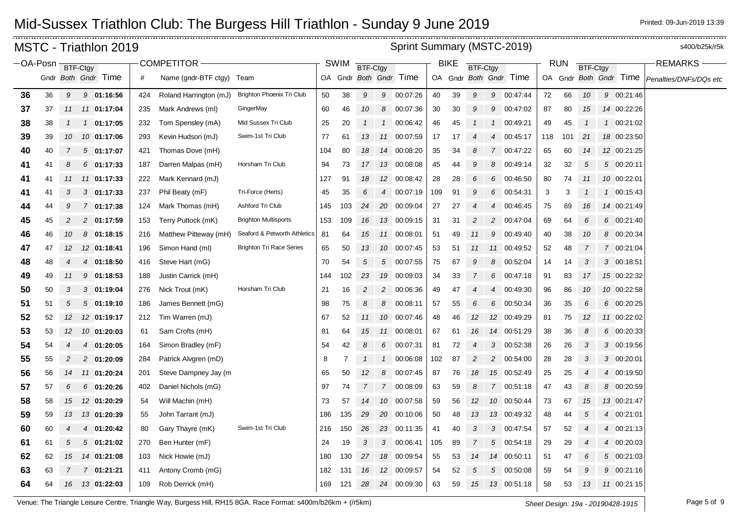|          |          |                  | MSTC - Triathlon 2019      |            |                                      |                                 |            |           |                 |                | Sprint Summary (MSTC-2019) |          |             |                |                |                         |          |            |                 |                        | s400/b25k/r5k          |
|----------|----------|------------------|----------------------------|------------|--------------------------------------|---------------------------------|------------|-----------|-----------------|----------------|----------------------------|----------|-------------|----------------|----------------|-------------------------|----------|------------|-----------------|------------------------|------------------------|
| -OA-Posn |          |                  | BTF-Ctgy                   |            | COMPETITOR -                         |                                 |            | SWIM      | <b>BTF-Ctgy</b> |                |                            |          | <b>BIKE</b> | BTF-Ctgy       |                |                         |          | <b>RUN</b> | <b>BTF-Ctgy</b> |                        | <b>REMARKS</b>         |
|          |          |                  | Gndr Both Gndr Time        | #          | Name (gndr-BTF ctgy) Team            |                                 |            |           |                 |                | OA Gndr Both Gndr Time     |          |             |                |                | OA Gndr Both Gndr Time  |          |            |                 | OA Gndr Both Gndr Time | Penalties/DNFs/DQs etc |
| 36       | 36       | 9                | 9 01:16:56                 | 424        | Roland Harrington (mJ)               | Brighton Phoenix Tri Club       | 50         | 38        | 9               |                | 9 00:07:26                 | 40       | 39          | 9              |                | 9 00:47:44              | 72       | 66         | 10              | 9 00:21:46             |                        |
| 37       | 37       | 11               | 11 01:17:04                | 235        | Mark Andrews (ml)                    | GingerMay                       | 60         | 46        | 10              | 8              | 00:07:36                   | 30       | 30          | 9              | 9              | 00:47:02                | 87       | 80         | 15              | 14 00:22:26            |                        |
| 38       | 38       | $\mathcal I$     | 1 01:17:05                 | 232        | Tom Spensley (mA)                    | Mid Sussex Tri Club             | 25         | 20        |                 | $\mathcal{I}$  | 00:06:42                   | 46       | 45          |                |                | 00:49:21                | 49       | 45         |                 | 1 00:21:02             |                        |
| 39       | 39       | 10               | 10 01:17:06                | 293        | Kevin Hudson (mJ)                    | Swim-1st Tri Club               | 77         | 61        | 13              |                | 11 00:07:59                | 17       | 17          |                | $\overline{4}$ | 00:45:17                | 118      | 101        | 21              | 18 00:23:50            |                        |
| 40       | 40       | 7                | 501:17:07                  | 421        | Thomas Dove (mH)                     |                                 | 104        | 80        | 18              |                | 14 00:08:20                | 35       | 34          | 8              | $\overline{7}$ | 00:47:22                | 65       | 60         | 14              | 12 00:21:25            |                        |
| 41       | 41       | 8                | $6$ 01:17:33               | 187        | Darren Malpas (mH)                   | Horsham Tri Club                | 94         | 73        | 17              |                | 13 00:08:08                | 45       | 44          | 9              | 8              | 00:49:14                | 32       | 32         | $\sqrt{5}$      | 5 00:20:11             |                        |
| 41       | 41       | 11               | 11 01:17:33                | 222        | Mark Kennard (mJ)                    |                                 | 127        | 91        | 18              |                | 12 00:08:42                | 28       | 28          | 6              | 6              | 00:46:50                | 80       | 74         | 11              | 10 00:22:01            |                        |
| 41       | 41       | 3                | $3$ 01:17:33               | 237        | Phil Beaty (mF)                      | Tri-Force (Herts)               | 45         | 35        | 6               | $\overline{4}$ | 00:07:19                   | 109      | 91          | 9              | 6              | 00:54:31                | 3        | 3          | $\mathbf{1}$    | 1 00:15:43             |                        |
| 44       | 44       | 9                | 7 01:17:38                 | 124        | Mark Thomas (mH)                     | Ashford Tri Club                | 145        | 103       | 24              |                | 20 00:09:04                | 27       | 27          | $\overline{4}$ | 4              | 00:46:45                | 75       | 69         | 16              | 14 00:21:49            |                        |
| 45       | 45       | 2                | 2 01:17:59                 | 153        | Terry Puttock (mK)                   | <b>Brighton Multisports</b>     | 153        | 109       | 16              |                | 13 00:09:15                | 31       | 31          |                | 2              | 00:47:04                | 69       | 64         | 6               | 6 00:21:40             |                        |
| 46       | 46       | 10               | $8$ 01:18:15               | 216        | Matthew Pitteway (mH)                | Seaford & Petworth Athletics    | 81         | 64        | 15              |                | 11 00:08:01                | 51       | 49          | 11             | 9              | 00:49:40                | 40       | 38         | 10              | 8 00:20:34             |                        |
| 47       | 47       | 12               | 12 01:18:41                | 196        | Simon Hand (ml)                      | <b>Brighton Tri Race Series</b> | 65         | 50        | 13              |                | 10 00:07:45                | 53       | 51          | 11             |                | 11 00:49:52             | 52       | 48         | 7               | 7 00:21:04             |                        |
| 48       | 48       | 4                | 4 01:18:50                 | 416        | Steve Hart (mG)                      |                                 | 70         | 54        | 5               |                | 5 00:07:55                 | 75       | 67          |                | 8              | 00:52:04                | 14       | 14         | 3               | 3 00:18:51             |                        |
| 49       | 49       | 11               | 9 01:18:53                 | 188        | Justin Carrick (mH)                  |                                 | 144        | 102       | 23              |                | 19 00:09:03                | 34       | 33          | $\overline{7}$ | 6              | 00:47:18                | 91       | 83         | 17              | 15 00:22:32            |                        |
| 50       | 50       | 3                | 301:19:04                  | 276        | Nick Trout (mK)                      | Horsham Tri Club                | 21         | 16        | 2               | $\overline{2}$ | 00:06:36                   | 49       | 47          | $\overline{4}$ | 4              | 00:49:30                | 96       | 86         | 10              | 10 00:22:58            |                        |
| 51       | 51       | 5                | 501:19:10                  | 186        | James Bennett (mG)                   |                                 | 98         | 75        | 8               | 8              | 00:08:11                   | 57       | 55          | 6              | 6              | 00:50:34                | 36       | 35         | 6               | 6 00:20:25             |                        |
| 52       | 52       | 12               | 12 01:19:17                |            | Tim Warren (mJ)                      |                                 | 67         | 52        | 11              |                | 10 00:07:46                | 48       | 46          | 12             |                | 12 00:49:29             | 81       | 75         | 12              | 11 00:22:02            |                        |
| 53       | 53       | 12               | 10 01:20:03                | 212<br>61  | Sam Crofts (mH)                      |                                 | 81         | 64        | 15              |                | 11 00:08:01                | 67       | 61          |                |                | 14 00:51:29             |          | 36         | 8               | 6 00:20:33             |                        |
| 54       | 54       | $\boldsymbol{4}$ | 4 01:20:05                 | 164        | Simon Bradley (mF)                   |                                 | 54         | 42        | 8               | 6              | 00:07:31                   | 81       | 72          | 16             | 3              | 00:52:38                | 38<br>26 | 26         | 3               | 3 00:19:56             |                        |
| 55       | 55       | 2                | 2 01:20:09                 | 284        | Patrick Alvgren (mD)                 |                                 | 8          | 7         |                 |                | 1 00:06:08                 | 102      | 87          |                | $\overline{c}$ | 00:54:00                | 28       | 28         | 3               | 3 00:20:01             |                        |
| 56       | 56       | 14               | 11 01:20:24                | 201        | Steve Dampney Jay (m                 |                                 | 65         | 50        | 12              | 8              | 00:07:45                   | 87       | 76          | 18             |                | 15 00:52:49             | 25       | 25         | $\overline{4}$  | 4 00:19:50             |                        |
| 57       | 57       | 6                | $6$ 01:20:26               | 402        | Daniel Nichols (mG)                  |                                 | 97         | 74        | $\overline{7}$  |                | 7 00:08:09                 | 63       | 59          | 8              |                | 7 00:51:18              | 47       | 43         | 8               | 8 00:20:59             |                        |
| 58       | 58       | 15               | 12 01:20:29                | 54         | Will Machin (mH)                     |                                 | 73         | 57        | 14              |                | 10 00:07:58                | 59       | 56          | 12             |                | 10 00:50:44             | 73       | 67         | 15              | 13 00:21:47            |                        |
|          | 59       |                  | 13 01:20:39                | 55         | John Tarrant (mJ)                    |                                 | 186        | 135       | 29              |                | 20 00:10:06                | 50       | 48          | 13             |                | 13 00:49:32             | 48       | 44         | 5               | 4 00:21:01             |                        |
| 59       |          | 13               |                            |            |                                      | Swim-1st Tri Club               |            |           | 26              |                | 23 00:11:35                |          |             | 3              | 3              |                         |          | 52         |                 | 4 00:21:13             |                        |
| 60       | 60       | 4<br>5           | 01:20:42<br>$\overline{4}$ | 80         | Gary Thayre (mK)                     |                                 | 216        | 150       | 3               | 3              |                            | 41       | 40          |                | 5              | 00:47:54                | 57       |            | $\overline{4}$  | 4 00:20:03             |                        |
| 61       | 61       |                  | 501:21:02                  | 270        | Ben Hunter (mF)                      |                                 | 24         | 19<br>130 |                 |                | 00:06:41<br>18 00:09:54    | 105      | 89          |                |                | 00:54:18<br>14 00:50:11 | 29       | 29         |                 | 5 00:21:03             |                        |
| 62       | 62<br>63 | 15<br>7          | 14 01:21:08<br>7 01:21:21  | 103        | Nick Howie (mJ)<br>Antony Cromb (mG) |                                 | 180<br>182 | 131       | 27<br>16        |                | 12 00:09:57                | 55<br>54 | 53<br>52    | 14<br>5        | 5              | 00:50:08                | 51<br>59 | 47<br>54   | 6<br>9          | 9 00:21:16             |                        |
| 63       | 64       | 16               | 13 01:22:03                | 411<br>109 |                                      |                                 | 169        | 121       | 28              |                | 24 00:09:30                | 63       | 59          | 15             |                | 13 00:51:18             | 58       | 53         | 13              | 11 00:21:15            |                        |
| 64       |          |                  |                            |            | Rob Derrick (mH)                     |                                 |            |           |                 |                |                            |          |             |                |                |                         |          |            |                 |                        |                        |

Venue: The Triangle Leisure Centre, Triangle Way, Burgess Hill, RH15 8GA. Race Format: s400m/b26km + (/r5km) *Sheet Design: 19a - 20190428-1915* Page 5 of 9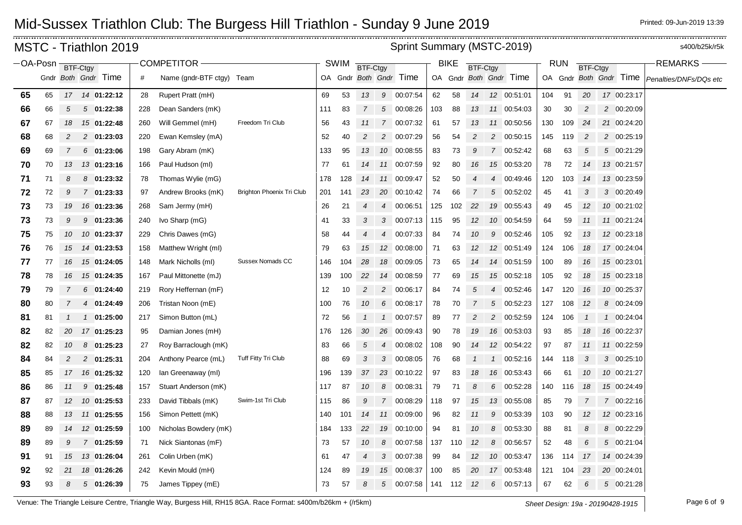|                   |    |                | MSTC - Triathlon 2019 |     |                           |                           |     |             |                |                | Sprint Summary (MSTC-2019) |     |             |                 |                 |                        |     |            |                |                        | s400/b25k/r5k          |
|-------------------|----|----------------|-----------------------|-----|---------------------------|---------------------------|-----|-------------|----------------|----------------|----------------------------|-----|-------------|-----------------|-----------------|------------------------|-----|------------|----------------|------------------------|------------------------|
| -OA-Posn BTF-Ctgy |    |                |                       |     | <b>COMPETITOR</b>         |                           |     | <b>SWIM</b> | BTF-Ctgy       |                |                            |     | <b>BIKE</b> | <b>BTF-Ctgy</b> |                 |                        |     | <b>RUN</b> | BTF-Ctgy       |                        | <b>REMARKS</b>         |
|                   |    |                | Gndr Both Gndr Time   | #   | Name (gndr-BTF ctgy) Team |                           |     |             |                |                | OA Gndr Both Gndr Time     |     |             |                 |                 | OA Gndr Both Gndr Time |     |            |                | OA Gndr Both Gndr Time | Penalties/DNFs/DQs etc |
| 65                | 65 |                | 17  14  01:22:12      | 28  | Rupert Pratt (mH)         |                           | 69  | 53          | 13             |                | 9 00:07:54                 | 62  | 58          | 14              |                 | 12 00:51:01            | 104 | 91         | 20             | 17 00:23:17            |                        |
| 66                | 66 | 5              | $5\quad 01:22:38$     | 228 | Dean Sanders (mK)         |                           | 111 | 83          | $\overline{7}$ | $\sqrt{5}$     | 00:08:26                   | 103 | 88          | 13              |                 | 11 00:54:03            | 30  | 30         | $\overline{c}$ | 2 00:20:09             |                        |
| 67                | 67 | 18             | 15 01:22:48           | 260 | Will Gemmel (mH)          | Freedom Tri Club          | 56  | 43          | 11             |                | 7 00:07:32                 | 61  | 57          | 13              | 11              | 00:50:56               | 130 | 109        | 24             | 21 00:24:20            |                        |
| 68                | 68 | 2              | 2 01:23:03            | 220 | Ewan Kemsley (mA)         |                           | 52  | 40          | $\overline{c}$ |                | 2 00:07:29                 | 56  | 54          | 2               | 2               | 00:50:15               | 145 | 119        | $\overline{c}$ | 2 00:25:19             |                        |
| 69                | 69 | $\overline{7}$ | $6$ 01:23:06          | 198 | Gary Abram (mK)           |                           | 133 | 95          | 13             |                | 10 00:08:55                | 83  | 73          | 9               |                 | 7 00:52:42             | 68  | 63         | $\sqrt{5}$     | 5 00:21:29             |                        |
| 70                | 70 | 13             | 13 01:23:16           | 166 | Paul Hudson (ml)          |                           | 77  | 61          | 14             |                | 11 00:07:59                | 92  | 80          | 16              |                 | 15 00:53:20            | 78  | 72         | 14             | 13 00:21:57            |                        |
| 71                | 71 | 8              | $8$ 01:23:32          | 78  | Thomas Wylie (mG)         |                           | 178 | 128         | 14             |                | 11 00:09:47                | 52  | 50          |                 | $\overline{4}$  | 00:49:46               | 120 | 103        | 14             | 13 00:23:59            |                        |
| 72                | 72 | 9              | 7 01:23:33            | 97  | Andrew Brooks (mK)        | Brighton Phoenix Tri Club | 201 | 141         | 23             |                | 20 00:10:42                | 74  | 66          |                 | 5               | 00:52:02               | 45  | 41         | 3              | 3 00:20:49             |                        |
| 73                | 73 | 19             | 16 01:23:36           | 268 | Sam Jermy (mH)            |                           | 26  | 21          | 4              | $\overline{4}$ | 00:06:51                   | 125 | 102         | 22              | 19              | 00:55:43               | 49  | 45         | 12             | 10 00:21:02            |                        |
| 73                | 73 | 9              | $9$ 01:23:36          | 240 | Ivo Sharp (mG)            |                           | 41  | 33          | 3              | 3              | 00:07:13                   | 115 | 95          | 12              | 10              | 00:54:59               | 64  | 59         | 11             | 11 00:21:24            |                        |
| 75                | 75 | 10             | 10 01:23:37           | 229 | Chris Dawes (mG)          |                           | 58  | 44          | 4              |                | 4 00:07:33                 | 84  | 74          | 10              | 9               | 00:52:46               | 105 | 92         | 13             | 12 00:23:18            |                        |
| 76                | 76 | 15             | 14 01:23:53           | 158 | Matthew Wright (ml)       |                           | 79  | 63          | 15             |                | 12 00:08:00                | 71  | 63          | 12              | 12 <sup>2</sup> | 00:51:49               | 124 | 106        | 18             | 17 00:24:04            |                        |
| 77                | 77 | 16             | 15 01:24:05           | 148 | Mark Nicholls (ml)        | Sussex Nomads CC          | 146 | 104         | 28             |                | 18 00:09:05                | 73  | 65          | 14              |                 | 14 00:51:59            | 100 | 89         | 16             | 15 00:23:01            |                        |
| 78                | 78 | 16             | 15 01:24:35           | 167 | Paul Mittonette (mJ)      |                           | 139 | 100         | 22             |                | 14 00:08:59                | 77  | 69          | 15              |                 | 15 00:52:18            | 105 | 92         | 18             | 15 00:23:18            |                        |
| 79                | 79 | 7              | $6$ 01:24:40          | 219 | Rory Heffernan (mF)       |                           | 12  | 10          | $\overline{c}$ | $\overline{c}$ | 00:06:17                   | 84  | 74          | 5               | $\overline{4}$  | 00:52:46               | 147 | 120        | 16             | 10 00:25:37            |                        |
| 80                | 80 | $\overline{7}$ | 4 01:24:49            | 206 | Tristan Noon (mE)         |                           | 100 | 76          | 10             | 6              | 00:08:17                   | 78  | 70          |                 | 5               | 00:52:23               | 127 | 108        | 12             | 8 00:24:09             |                        |
| 81                | 81 |                | 1 01:25:00            | 217 | Simon Button (mL)         |                           | 72  | 56          | $\mathbf{1}$   |                | 1 00:07:57                 | 89  | 77          | 2               | 2               | 00:52:59               | 124 | 106        | $\mathcal I$   | 1 00:24:04             |                        |
| 82                | 82 | 20             | 17 01:25:23           | 95  | Damian Jones (mH)         |                           | 176 | 126         | 30             |                | 26 00:09:43                | 90  | 78          | 19              |                 | 16 00:53:03            | 93  | 85         | 18             | 16 00:22:37            |                        |
| 82                | 82 | 10             | $8$ 01:25:23          | 27  | Roy Barraclough (mK)      |                           | 83  | 66          | 5              | $\overline{4}$ | 00:08:02                   | 108 | 90          | 14              |                 | 12 00:54:22            | 97  | 87         | 11             | 11 00:22:59            |                        |
| 84                | 84 | 2              | 2 01:25:31            | 204 | Anthony Pearce (mL)       | Tuff Fitty Tri Club       | 88  | 69          | 3              | 3              | 00:08:05                   | 76  | 68          |                 | $\overline{1}$  | 00:52:16               | 144 | 118        | 3              | 3 00:25:10             |                        |
| 85                | 85 | 17             | 16 01:25:32           | 120 | lan Greenaway (ml)        |                           | 196 | 139         | 37             |                | 23 00:10:22                | 97  | 83          | 18              |                 | 16 00:53:43            | 66  | 61         | 10             | 10 00:21:27            |                        |
| 86                | 86 | 11             | 9 01:25:48            | 157 | Stuart Anderson (mK)      |                           | 117 | 87          | 10             | 8              | 00:08:31                   | 79  | 71          | 8               | 6               | 00:52:28               | 140 | 116        | 18             | 15 00:24:49            |                        |
| 87                | 87 | 12             | 10 01:25:53           | 233 | David Tibbals (mK)        | Swim-1st Tri Club         | 115 | 86          | 9              |                | 7 00:08:29                 | 118 | 97          | 15              | 13              | 00:55:08               | 85  | 79         | 7              | 7 00:22:16             |                        |
| 88                | 88 | 13             | 11 01:25:55           | 156 | Simon Pettett (mK)        |                           | 140 | 101         | 14             |                | 11 00:09:00                | 96  | 82          | 11              | 9               | 00:53:39               | 103 | 90         | 12             | 12 00:23:16            |                        |
| 89                | 89 | 14             | 12 01:25:59           | 100 | Nicholas Bowdery (mK)     |                           | 184 | 133         | 22             |                | 19 00:10:00                | 94  | 81          | 10              | 8               | 00:53:30               | 88  | 81         | 8              | 8 00:22:29             |                        |
| 89                | 89 | 9              | 7 01:25:59            | 71  | Nick Siantonas (mF)       |                           | 73  | 57          | 10             | 8              | 00:07:58                   | 137 | 110         | 12              | 8               | 00:56:57               | 52  | 48         | 6              | 5 00:21:04             |                        |
| 91                | 91 | 15             | 13 01:26:04           | 261 | Colin Urben (mK)          |                           | 61  | 47          | 4              |                | 3 00:07:38                 | 99  | 84          | 12              |                 | 10 00:53:47            | 136 | 114        | 17             | 14 00:24:39            |                        |
| 92                | 92 | 21             | 18 01:26:26           | 242 | Kevin Mould (mH)          |                           | 124 | 89          | 19             |                | 15 00:08:37                | 100 | 85          | 20              | 17              | 00:53:48               | 121 | 104        | 23             | 20 00:24:01            |                        |
| 93                | 93 | 8              | $5\quad 01:26:39$     | 75  | James Tippey (mE)         |                           | 73  | 57          | 8              |                | 5 00:07:58                 | 141 | 112         | 12              | 6               | 00:57:13               | 67  | 62         | 6              | 5 00:21:28             |                        |

Venue: The Triangle Leisure Centre, Triangle Way, Burgess Hill, RH15 8GA. Race Format: s400m/b26km + (/r5km) *Sheet Design: 19a - 20190428-1915* Page 6 of 9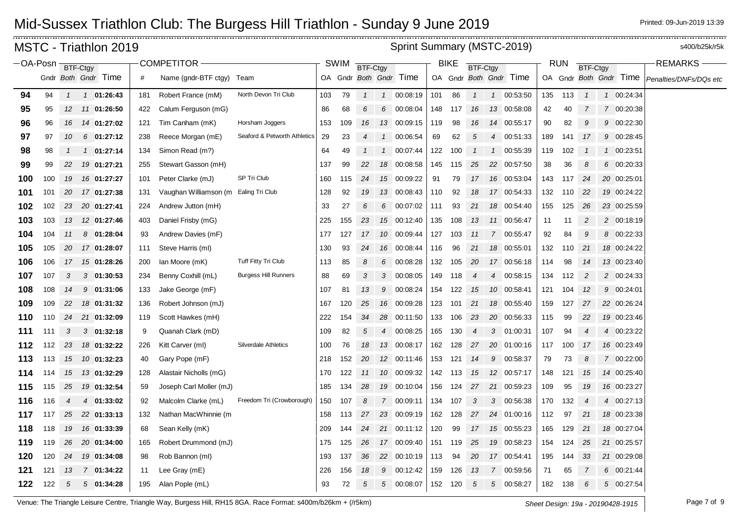|                       |     |               |          | MSTC - Triathlon 2019 |     |                           |                              |     |             |                 |                | Sprint Summary (MSTC-2019) |     |             |                 |                |                        |     |            |                 |                        | s400/b25k/r5k          |
|-----------------------|-----|---------------|----------|-----------------------|-----|---------------------------|------------------------------|-----|-------------|-----------------|----------------|----------------------------|-----|-------------|-----------------|----------------|------------------------|-----|------------|-----------------|------------------------|------------------------|
| −OA-Posn <sub>i</sub> |     |               | BTF-Ctgy |                       |     | <b>COMPETITOR</b>         |                              |     | <b>SWIM</b> | <b>BTF-Ctgy</b> |                |                            |     | <b>BIKE</b> | <b>BTF-Ctgy</b> |                |                        |     | <b>RUN</b> | <b>BTF-Ctgy</b> |                        | <b>REMARKS</b>         |
|                       |     |               |          | Gndr Both Gndr Time   | #   | Name (gndr-BTF ctgy) Team |                              |     |             |                 |                | OA Gndr Both Gndr Time     |     |             |                 |                | OA Gndr Both Gndr Time |     |            |                 | OA Gndr Both Gndr Time | Penalties/DNFs/DQs etc |
| 94                    | 94  | $\mathcal{I}$ |          | $1 \quad 01:26:43$    | 181 | Robert France (mM)        | North Devon Tri Club         | 103 | 79          |                 |                | 1  1  00:08:19             | 101 | 86          | $\mathbf{1}$    |                | 1 00:53:50             | 135 | 113        | $\mathcal I$    | 1 00:24:34             |                        |
| 95                    | 95  | 12            |          | 11 01:26:50           | 422 | Calum Ferguson (mG)       |                              | 86  | 68          | 6               | 6              | 00:08:04                   | 148 | 117         | 16              |                | 13 00:58:08            | 42  | 40         | 7               | 7 00:20:38             |                        |
| 96                    | 96  | 16            |          | 14 01:27:02           | 121 | Tim Canham (mK)           | Horsham Joggers              | 153 | 109         | 16              |                | 13 00:09:15                | 119 | 98          | 16              | 14             | 00:55:17               | 90  | 82         | 9               | 9 00:22:30             |                        |
| 97                    | 97  | 10            |          | $6$ 01:27:12          | 238 | Reece Morgan (mE)         | Seaford & Petworth Athletics | 29  | 23          | 4               |                | 1 00:06:54                 | 69  | 62          | 5               | 4              | 00:51:33               | 189 | 141        | 17              | 9 00:28:45             |                        |
| 98                    | 98  | $\mathcal I$  |          | $1 \quad 01:27:14$    | 134 | Simon Read (m?)           |                              | 64  | 49          | $\mathcal{I}$   | $\mathcal{I}$  | 00:07:44                   | 122 | 100         | $\mathcal{I}$   | $\mathcal{I}$  | 00:55:39               | 119 | 102        | $\mathcal I$    | 1 00:23:51             |                        |
| 99                    | 99  | 22            |          | 19 01:27:21           | 255 | Stewart Gasson (mH)       |                              | 137 | 99          | 22              |                | 18 00:08:58                | 145 | 115         | 25              |                | 22 00:57:50            | 38  | 36         | 8               | 6 00:20:33             |                        |
| 100                   | 100 | 19            |          | 16 01:27:27           | 101 | Peter Clarke (mJ)         | SP Tri Club                  | 160 | 115         | 24              |                | 15 00:09:22                | 91  | 79          | 17              |                | 16 00:53:04            | 143 | 117        | 24              | 20 00:25:01            |                        |
| 101                   | 101 | 20            |          | 17 01:27:38           | 131 | Vaughan Williamson (m     | Ealing Tri Club              | 128 | 92          | 19              |                | 13 00:08:43                | 110 | 92          | 18              |                | 17 00:54:33            | 132 | 110        | -22             | 19 00:24:22            |                        |
| 102                   | 102 | 23            |          | 20 01:27:41           | 224 | Andrew Jutton (mH)        |                              | 33  | 27          | 6               | 6              | 00:07:02                   | 111 | 93          | 21              |                | 18 00:54:40            | 155 | 125        | 26              | 23 00:25:59            |                        |
| 103                   | 103 | 13            |          | 12 01:27:46           | 403 | Daniel Frisby (mG)        |                              | 225 | 155         | 23              |                | 15 00:12:40                | 135 | 108         | 13              |                | 11 00:56:47            | 11  | 11         | $\overline{c}$  | 2 00:18:19             |                        |
| 104                   | 104 | 11            |          | 8 01:28:04            | 93  | Andrew Davies (mF)        |                              | 177 | 127         | 17              |                | 10 00:09:44                | 127 | 103         | 11              |                | 7 00:55:47             | 92  | 84         | 9               | 8 00:22:33             |                        |
| 105                   | 105 | 20            |          | 17 01:28:07           | 111 | Steve Harris (ml)         |                              | 130 | 93          | 24              |                | 16 00:08:44                | 116 | 96          | 21              |                | 18 00:55:01            | 132 | 110        | 21              | 18 00:24:22            |                        |
| 106                   | 106 | 17            |          | 15 01:28:26           | 200 | lan Moore (mK)            | Tuff Fitty Tri Club          | 113 | 85          | 8               | 6              | 00:08:28                   | 132 | 105         | 20              |                | 17 00:56:18            | 114 | 98         | 14              | 13 00:23:40            |                        |
| 107                   | 107 | 3             |          | $3$ 01:30:53          | 234 | Benny Coxhill (mL)        | <b>Burgess Hill Runners</b>  | 88  | 69          | 3               |                | 3 00:08:05                 | 149 | 118         | 4               | $\overline{4}$ | 00:58:15               | 134 | 112        | $\overline{c}$  | 2 00:24:33             |                        |
| 108                   | 108 | 14            | 9        | 01:31:06              | 133 | Jake George (mF)          |                              | 107 | 81          | 13              | 9              | 00:08:24                   | 154 | 122         | 15              | 10             | 00:58:41               | 121 | 104        | 12              | 9 00:24:01             |                        |
| 109                   | 109 | 22            |          | 18 01:31:32           | 136 | Robert Johnson (mJ)       |                              | 167 | 120         | 25              |                | 16 00:09:28                | 123 | 101         | 21              |                | 18 00:55:40            | 159 | 127        | 27              | 22 00:26:24            |                        |
| 110                   | 110 | 24            |          | 21 01:32:09           | 119 | Scott Hawkes (mH)         |                              | 222 | 154         | 34              |                | 28 00:11:50                | 133 | 106         | 23              |                | 20 00:56:33            | 115 | 99         | 22              | 19 00:23:46            |                        |
| 111                   | 111 | 3             |          | $3$ 01:32:18          | 9   | Quanah Clark (mD)         |                              | 109 | 82          | 5               | $\overline{4}$ | 00:08:25                   | 165 | 130         | 4               | 3              | 01:00:31               | 107 | 94         | 4               | 4 00:23:22             |                        |
| 112                   | 112 | 23            |          | 18 01:32:22           | 226 | Kitt Carver (ml)          | <b>Silverdale Athletics</b>  | 100 | 76          | 18              |                | 13 00:08:17                | 162 | 128         | 27              |                | 20 01:00:16            | 117 | 100        | 17              | 16 00:23:49            |                        |
| 113                   | 113 | 15            |          | 10 01:32:23           | 40  | Gary Pope (mF)            |                              | 218 | 152         | 20              |                | 12 00:11:46                | 153 | 121         | 14              | 9              | 00:58:37               | 79  | 73         | 8               | 7 00:22:00             |                        |
| 114                   | 114 | 15            |          | 13 01:32:29           | 128 | Alastair Nicholls (mG)    |                              | 170 | 122         | 11              |                | 10 00:09:32                | 142 | 113         | 15              |                | 12 00:57:17            | 148 | 121        | 15              | 14 00:25:40            |                        |
| 115                   | 115 | 25            |          | 19 01:32:54           | 59  | Joseph Carl Moller (mJ)   |                              | 185 | 134         | 28              |                | 19 00:10:04                | 156 | 124         | 27              |                | 21 00:59:23            | 109 | 95         | 19              | 16 00:23:27            |                        |
| 116                   | 116 | 4             |          | 4 01:33:02            | 92  | Malcolm Clarke (mL)       | Freedom Tri (Crowborough)    | 150 | 107         | 8               |                | 7 00:09:11                 | 134 | 107         | 3               | 3              | 00:56:38               | 170 | 132        | $\overline{4}$  | 4 00:27:13             |                        |
| 117                   | 117 | 25            |          | 22 01:33:13           | 132 | Nathan MacWhinnie (m      |                              | 158 | 113         | 27              |                | 23 00:09:19                | 162 | 128         |                 |                | 27 24 01:00:16         | 112 | 97         | 21              | 18 00:23:38            |                        |
| 118                   | 118 | 19            |          | 16 01:33:39           | 68  | Sean Kelly (mK)           |                              | 209 | 144         | 24              |                | 21 00:11:12                | 120 | 99          | 17              |                | 15 00:55:23            | 165 | 129        | 21              | 18 00:27:04            |                        |
| 119                   | 119 | 26            |          | 20 01:34:00           | 165 | Robert Drummond (mJ)      |                              | 175 | 125         | 26              |                | 17 00:09:40                | 151 | 119         | 25              |                | 19 00:58:23            | 154 | 124        | 25              | 21 00:25:57            |                        |
| 120                   | 120 | 24            |          | 19 01:34:08           | 98  | Rob Bannon (ml)           |                              | 193 | 137         | 36              |                | 22 00:10:19                | 113 | 94          | 20              |                | 17 00:54:41            | 195 | 144        | 33              | 21 00:29:08            |                        |
| 121                   | 121 | 13            |          | 7 01:34:22            | 11  | Lee Gray (mE)             |                              | 226 | 156         | 18              | 9              | 00:12:42                   | 159 | 126         | 13              | $\overline{7}$ | 00:59:56               | 71  | 65         | 7               | 6 00:21:44             |                        |
| 122                   | 122 | 5             |          | 501:34:28             | 195 | Alan Pople (mL)           |                              | 93  | 72          | 5               | 5              | 00:08:07                   | 152 | 120         | 5               | 5              | 00:58:27               | 182 | 138        | 6               | 5 00:27:54             |                        |

Venue: The Triangle Leisure Centre, Triangle Way, Burgess Hill, RH15 8GA. Race Format: s400m/b26km + (/r5km) *Sheet Design: 19a - 20190428-1915* Page 7 of 9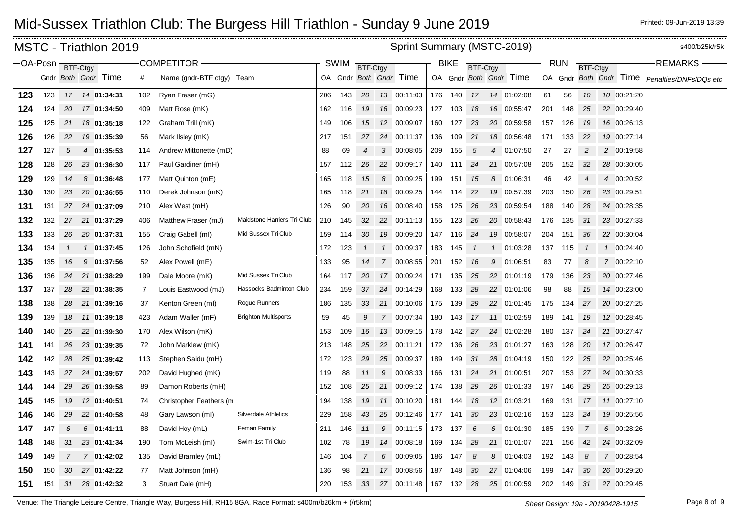|                     |     |               | MSTC - Triathlon 2019 |     |                           |                             |     |      |                |               | Sprint Summary (MSTC-2019) |     |             |                 |   |                        |     |            |                |                        | s400/b25k/r5k          |
|---------------------|-----|---------------|-----------------------|-----|---------------------------|-----------------------------|-----|------|----------------|---------------|----------------------------|-----|-------------|-----------------|---|------------------------|-----|------------|----------------|------------------------|------------------------|
| $-OA-Posn$ BTF-Ctgy |     |               |                       |     | COMPETITOR-               |                             |     | SWIM | BTF-Ctgy       |               |                            |     | <b>BIKE</b> | <b>BTF-Ctgy</b> |   |                        |     | <b>RUN</b> | BTF-Ctgy       |                        | <b>REMARKS</b>         |
|                     |     |               | Gndr Both Gndr Time   | #   | Name (gndr-BTF ctgy) Team |                             |     |      |                |               | OA Gndr Both Gndr Time     |     |             |                 |   | OA Gndr Both Gndr Time |     |            |                | OA Gndr Both Gndr Time | Penalties/DNFs/DQs etc |
| 123                 | 123 |               | 17  14  01:34:31      | 102 | Ryan Fraser (mG)          |                             | 206 | 143  | 20             |               | 13 00:11:03                | 176 | 140         |                 |   | 17  14  01:02:08       | 61  | 56         | 10             | 10 00:21:20            |                        |
| 124                 | 124 |               | 20 17 01:34:50        | 409 | Matt Rose (mK)            |                             | 162 | 116  | 19             |               | 16 00:09:23                | 127 | 103         | 18              |   | 16 00:55:47            | 201 | 148        | 25             | 22 00:29:40            |                        |
| 125                 | 125 | 21            | 18 01:35:18           | 122 | Graham Trill (mK)         |                             | 149 | 106  | 15             |               | 12 00:09:07                | 160 | 127         | 23              |   | 20 00:59:58            | 157 | 126        | 19             | 16 00:26:13            |                        |
| 126                 | 126 | 22            | 19 01:35:39           | 56  | Mark Ilsley (mK)          |                             | 217 | 151  | 27             |               | 24 00:11:37                | 136 | 109         | 21              |   | 18 00:56:48            | 171 | 133        | 22             | 19 00:27:14            |                        |
| 127                 | 127 | 5             | 4 01:35:53            | 114 | Andrew Mittonette (mD)    |                             | 88  | 69   |                | 3             | 00:08:05                   | 209 | 155         | 5               | 4 | 01:07:50               | 27  | 27         | 2              | 2 00:19:58             |                        |
| 128                 | 128 | 26            | 23 01:36:30           | 117 | Paul Gardiner (mH)        |                             | 157 | 112  | 26             |               | 22 00:09:17                | 140 | 111         | 24              |   | 21 00:57:08            | 205 | 152        | 32             | 28 00:30:05            |                        |
| 129                 | 129 | 14            | 8 01:36:48            | 177 | Matt Quinton (mE)         |                             | 165 | 118  | 15             | 8             | 00:09:25                   | 199 | 151         | 15              | 8 | 01:06:31               | 46  | 42         | $\overline{4}$ | 4 00:20:52             |                        |
| 130                 | 130 | 23            | 20 01:36:55           | 110 | Derek Johnson (mK)        |                             | 165 | 118  | 21             |               | 18 00:09:25                | 144 | 114         | 22              |   | 19 00:57:39            | 203 | 150        | 26             | 23 00:29:51            |                        |
| 131                 | 131 |               | 27 24 01:37:09        | 210 | Alex West (mH)            |                             | 126 | 90   | 20             |               | 16 00:08:40                | 158 | 125         | 26              |   | 23 00:59:54            | 188 | 140        | 28             | 24 00:28:35            |                        |
| 132                 | 132 |               | 27 21 01:37:29        | 406 | Matthew Fraser (mJ)       | Maidstone Harriers Tri Club | 210 | 145  | 32             |               | 22 00:11:13                | 155 | 123         | 26              |   | 20 00:58:43            | 176 | 135        | 31             | 23 00:27:33            |                        |
| 133                 | 133 |               | 26 20 01:37:31        | 155 | Craig Gabell (ml)         | Mid Sussex Tri Club         | 159 | 114  | 30             |               | 19 00:09:20                | 147 | 116         | 24              |   | 19 00:58:07            | 204 | 151        | 36             | 22 00:30:04            |                        |
| 134                 | 134 | $\mathcal{I}$ | 1 01:37:45            | 126 | John Schofield (mN)       |                             | 172 | 123  |                | $\mathcal{I}$ | 00:09:37                   | 183 | 145         |                 |   | 1 01:03:28             | 137 | 115        |                | 1 00:24:40             |                        |
| 135                 | 135 | 16            | 9 01:37:56            | 52  | Alex Powell (mE)          |                             | 133 | 95   | 14             |               | 7 00:08:55                 | 201 | 152         | 16              | 9 | 01:06:51               | 83  | 77         | 8              | 7 00:22:10             |                        |
| 136                 | 136 |               | 24 21 01:38:29        | 199 | Dale Moore (mK)           | Mid Sussex Tri Club         | 164 | 117  | 20             |               | 17 00:09:24                | 171 | 135         | 25              |   | 22 01:01:19            | 179 | 136        | 23             | 20 00:27:46            |                        |
| 137                 | 137 | 28            | 22 01:38:35           | -7  | Louis Eastwood (mJ)       | Hassocks Badminton Club     | 234 | 159  | 37             |               | 24 00:14:29                | 168 | 133         | 28              |   | 22 01:01:06            | 98  | 88         | 15             | 14 00:23:00            |                        |
| 138                 | 138 | 28            | 21 01:39:16           | 37  | Kenton Green (ml)         | Rogue Runners               | 186 | 135  | 33             |               | 21 00:10:06                | 175 | 139         | 29              |   | 22 01:01:45            | 175 | 134        | 27             | 20 00:27:25            |                        |
| 139                 | 139 | 18            | 11 01:39:18           | 423 | Adam Waller (mF)          | <b>Brighton Multisports</b> | 59  | 45   | 9              |               | 7 00:07:34                 | 180 | 143         | 17              |   | 11 01:02:59            | 189 | 141        | 19             | 12 00:28:45            |                        |
| 140                 | 140 |               | 25 22 01:39:30        | 170 | Alex Wilson (mK)          |                             | 153 | 109  | 16             |               | 13 00:09:15                | 178 | 142         |                 |   | 27 24 01:02:28         | 180 | 137        | 24             | 21 00:27:47            |                        |
| 141                 | 141 | 26            | 23 01:39:35           | 72  | John Marklew (mK)         |                             | 213 | 148  | 25             |               | 22 00:11:21                | 172 | 136         | 26              |   | 23 01:01:27            | 163 | 128        | 20             | 17 00:26:47            |                        |
| 142                 | 142 |               | 28 25 01:39:42        | 113 | Stephen Saidu (mH)        |                             | 172 | 123  | 29             |               | 25 00:09:37                | 189 | 149         |                 |   | 31 28 01:04:19         | 150 | 122        | 25             | 22 00:25:46            |                        |
| 143                 | 143 |               | 27 24 01:39:57        | 202 | David Hughed (mK)         |                             | 119 | 88   | 11             | 9             | 00:08:33                   | 166 | 131         | 24              |   | 21 01:00:51            | 207 | 153        | 27             | 24 00:30:33            |                        |
| 144                 | 144 | 29            | 26 01:39:58           | 89  | Damon Roberts (mH)        |                             | 152 | 108  | 25             |               | 21 00:09:12                | 174 | 138         | 29              |   | 26 01:01:33            | 197 | 146        | 29             | 25 00:29:13            |                        |
| 145                 | 145 | 19            | 12 01:40:51           | 74  | Christopher Feathers (m   |                             | 194 | 138  | 19             |               | 11 00:10:20                | 181 | 144         | 18              |   | 12 01:03:21            | 169 | 131        | 17             | 11 00:27:10            |                        |
| 146                 | 146 | 29            | 22 01:40:58           | 48  | Gary Lawson (ml)          | <b>Silverdale Athletics</b> | 229 | 158  | 43             |               | 25 00:12:46                | 177 | 141         | 30              |   | 23 01:02:16            | 153 | 123        | 24             | 19 00:25:56            |                        |
| 147                 | 147 | 6             | $6$ 01:41:11          | 88  | David Hoy (mL)            | Feman Family                | 211 | 146  | 11             | 9             | 00:11:15                   | 173 | 137         | 6               | 6 | 01:01:30               | 185 | 139        | 7              | 6 00:28:26             |                        |
| 148                 | 148 | 31            | 23 01:41:34           | 190 | Tom McLeish (ml)          | Swim-1st Tri Club           | 102 | 78   | 19             | 14            | 00:08:18                   | 169 | 134         | 28              |   | 21 01:01:07            | 221 | 156        | 42             | 24 00:32:09            |                        |
| 149                 | 149 | 7             | 7 01:42:02            | 135 | David Bramley (mL)        |                             | 146 | 104  | $\overline{7}$ |               | 6 00:09:05                 | 186 | 147         | 8               | 8 | 01:04:03               | 192 | 143        | 8              | 7 00:28:54             |                        |
| 150                 | 150 | 30            | 27 01:42:22           | 77  | Matt Johnson (mH)         |                             | 136 | 98   | 21             |               | 17 00:08:56                | 187 | 148         | 30              |   | 27 01:04:06            | 199 | 147        | 30             | 26 00:29:20            |                        |
| 151                 | 151 | 31            | 28 01:42:32           | 3   | Stuart Dale (mH)          |                             | 220 | 153  | 33             |               | 27 00:11:48                | 167 | 132         | 28              |   | 25 01:00:59            | 202 | 149        | 31             | 27 00:29:45            |                        |

Venue: The Triangle Leisure Centre, Triangle Way, Burgess Hill, RH15 8GA. Race Format: s400m/b26km + (/r5km) *Sheet Design: 19a - 20190428-1915* Page 8 of 9